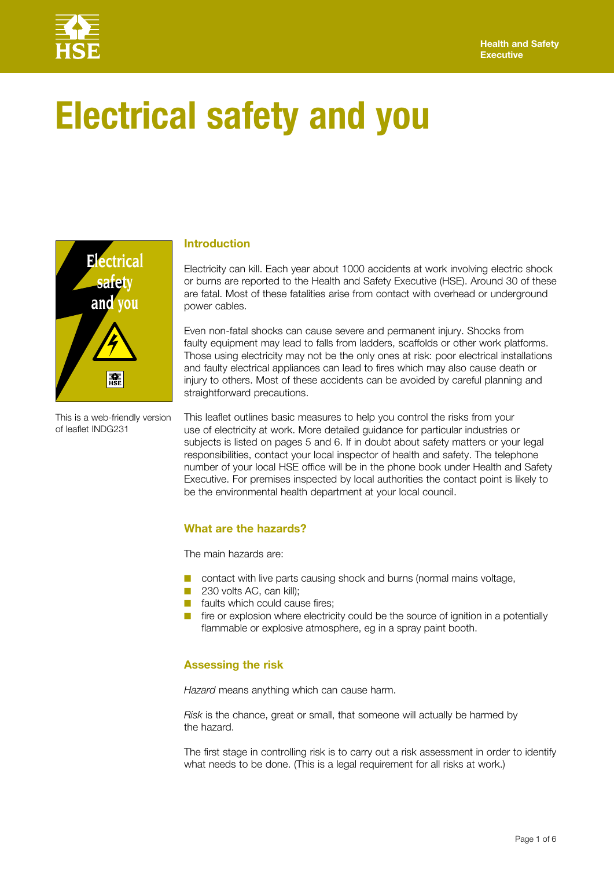

# **Electrical safety and you**



This is a web-friendly version of leaflet INDG231

## **Introduction**

Electricity can kill. Each year about 1000 accidents at work involving electric shock or burns are reported to the Health and Safety Executive (HSE). Around 30 of these are fatal. Most of these fatalities arise from contact with overhead or underground power cables.

Even non-fatal shocks can cause severe and permanent injury. Shocks from faulty equipment may lead to falls from ladders, scaffolds or other work platforms. Those using electricity may not be the only ones at risk: poor electrical installations and faulty electrical appliances can lead to fires which may also cause death or injury to others. Most of these accidents can be avoided by careful planning and straightforward precautions.

This leaflet outlines basic measures to help you control the risks from your use of electricity at work. More detailed guidance for particular industries or subjects is listed on pages 5 and 6. If in doubt about safety matters or your legal responsibilities, contact your local inspector of health and safety. The telephone number of your local HSE office will be in the phone book under Health and Safety Executive. For premises inspected by local authorities the contact point is likely to be the environmental health department at your local council.

# **What are the hazards?**

The main hazards are:

- contact with live parts causing shock and burns (normal mains voltage,
- 230 volts AC, can kill):
- faults which could cause fires:
- fire or explosion where electricity could be the source of ignition in a potentially flammable or explosive atmosphere, eg in a spray paint booth.

# **Assessing the risk**

*Hazard* means anything which can cause harm.

*Risk* is the chance, great or small, that someone will actually be harmed by the hazard.

The first stage in controlling risk is to carry out a risk assessment in order to identify what needs to be done. (This is a legal requirement for all risks at work.)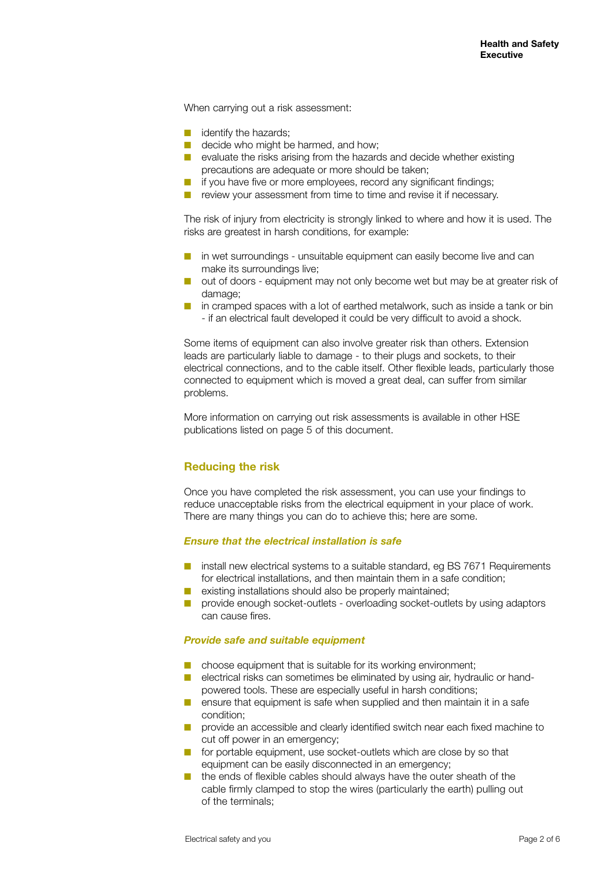When carrying out a risk assessment:

- identify the hazards;
- decide who might be harmed, and how;
- evaluate the risks arising from the hazards and decide whether existing precautions are adequate or more should be taken;
- if you have five or more employees, record any significant findings;
- review your assessment from time to time and revise it if necessary.

The risk of injury from electricity is strongly linked to where and how it is used. The risks are greatest in harsh conditions, for example:

- in wet surroundings unsuitable equipment can easily become live and can make its surroundings live;
- out of doors equipment may not only become wet but may be at greater risk of damage;
- in cramped spaces with a lot of earthed metalwork, such as inside a tank or bin - if an electrical fault developed it could be very difficult to avoid a shock.

Some items of equipment can also involve greater risk than others. Extension leads are particularly liable to damage - to their plugs and sockets, to their electrical connections, and to the cable itself. Other flexible leads, particularly those connected to equipment which is moved a great deal, can suffer from similar problems.

More information on carrying out risk assessments is available in other HSE publications listed on page 5 of this document.

# **Reducing the risk**

Once you have completed the risk assessment, you can use your findings to reduce unacceptable risks from the electrical equipment in your place of work. There are many things you can do to achieve this; here are some.

## *Ensure that the electrical installation is safe*

- install new electrical systems to a suitable standard, eg BS 7671 Requirements for electrical installations, and then maintain them in a safe condition;
- existing installations should also be properly maintained:
- provide enough socket-outlets overloading socket-outlets by using adaptors can cause fires.

## *Provide safe and suitable equipment*

- choose equipment that is suitable for its working environment;
- electrical risks can sometimes be eliminated by using air, hydraulic or handpowered tools. These are especially useful in harsh conditions;
- ensure that equipment is safe when supplied and then maintain it in a safe condition;
- provide an accessible and clearly identified switch near each fixed machine to cut off power in an emergency;
- for portable equipment, use socket-outlets which are close by so that equipment can be easily disconnected in an emergency;
- the ends of flexible cables should always have the outer sheath of the cable firmly clamped to stop the wires (particularly the earth) pulling out of the terminals;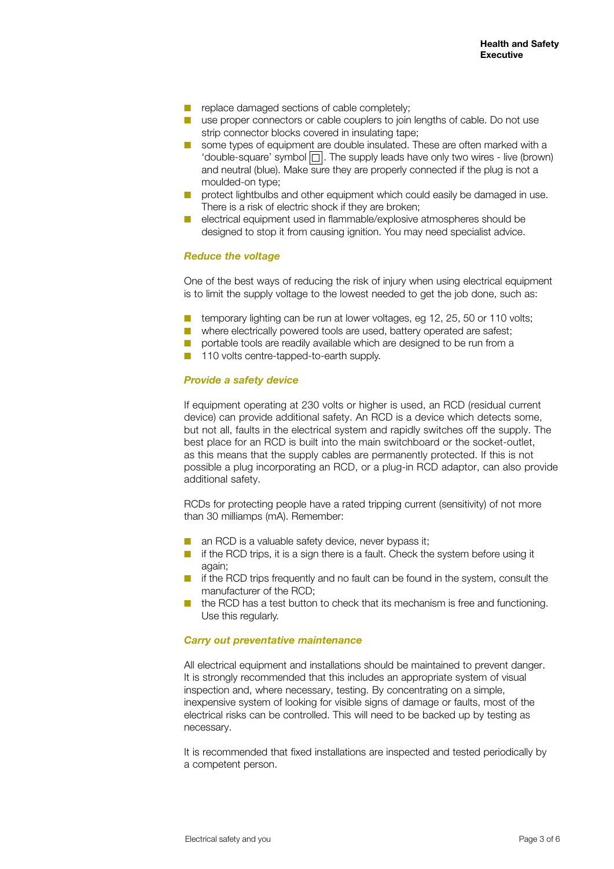- replace damaged sections of cable completely;
- use proper connectors or cable couplers to join lengths of cable. Do not use strip connector blocks covered in insulating tape;
- some types of equipment are double insulated. These are often marked with a 'double-square' symbol  $\boxed{\Box}$ . The supply leads have only two wires - live (brown) and neutral (blue). Make sure they are properly connected if the plug is not a moulded-on type;
- protect lightbulbs and other equipment which could easily be damaged in use. There is a risk of electric shock if they are broken;
- electrical equipment used in flammable/explosive atmospheres should be designed to stop it from causing ignition. You may need specialist advice.

## *Reduce the voltage*

One of the best ways of reducing the risk of injury when using electrical equipment is to limit the supply voltage to the lowest needed to get the job done, such as:

- temporary lighting can be run at lower voltages, eg 12, 25, 50 or 110 volts;
- where electrically powered tools are used, battery operated are safest;
- portable tools are readily available which are designed to be run from a
- 110 volts centre-tapped-to-earth supply.

#### *Provide a safety device*

If equipment operating at 230 volts or higher is used, an RCD (residual current device) can provide additional safety. An RCD is a device which detects some, but not all, faults in the electrical system and rapidly switches off the supply. The best place for an RCD is built into the main switchboard or the socket-outlet, as this means that the supply cables are permanently protected. If this is not possible a plug incorporating an RCD, or a plug-in RCD adaptor, can also provide additional safety.

RCDs for protecting people have a rated tripping current (sensitivity) of not more than 30 milliamps (mA). Remember:

- an RCD is a valuable safety device, never bypass it;
- if the RCD trips, it is a sign there is a fault. Check the system before using it again;
- if the RCD trips frequently and no fault can be found in the system, consult the manufacturer of the RCD;
- the RCD has a test button to check that its mechanism is free and functioning. Use this regularly.

#### *Carry out preventative maintenance*

All electrical equipment and installations should be maintained to prevent danger. It is strongly recommended that this includes an appropriate system of visual inspection and, where necessary, testing. By concentrating on a simple, inexpensive system of looking for visible signs of damage or faults, most of the electrical risks can be controlled. This will need to be backed up by testing as necessary.

It is recommended that fixed installations are inspected and tested periodically by a competent person.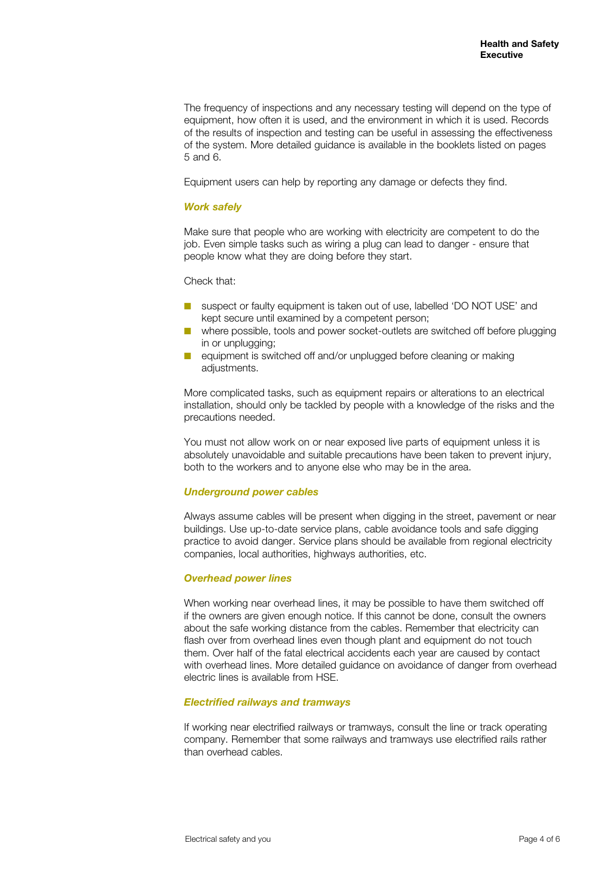The frequency of inspections and any necessary testing will depend on the type of equipment, how often it is used, and the environment in which it is used. Records of the results of inspection and testing can be useful in assessing the effectiveness of the system. More detailed guidance is available in the booklets listed on pages 5 and 6.

Equipment users can help by reporting any damage or defects they find.

#### *Work safely*

Make sure that people who are working with electricity are competent to do the job. Even simple tasks such as wiring a plug can lead to danger - ensure that people know what they are doing before they start.

Check that:

- suspect or faulty equipment is taken out of use, labelled 'DO NOT USE' and kept secure until examined by a competent person;
- where possible, tools and power socket-outlets are switched off before plugging in or unplugging;
- equipment is switched off and/or unplugged before cleaning or making adjustments.

More complicated tasks, such as equipment repairs or alterations to an electrical installation, should only be tackled by people with a knowledge of the risks and the precautions needed.

You must not allow work on or near exposed live parts of equipment unless it is absolutely unavoidable and suitable precautions have been taken to prevent injury, both to the workers and to anyone else who may be in the area.

#### *Underground power cables*

Always assume cables will be present when digging in the street, pavement or near buildings. Use up-to-date service plans, cable avoidance tools and safe digging practice to avoid danger. Service plans should be available from regional electricity companies, local authorities, highways authorities, etc.

#### *Overhead power lines*

When working near overhead lines, it may be possible to have them switched off if the owners are given enough notice. If this cannot be done, consult the owners about the safe working distance from the cables. Remember that electricity can flash over from overhead lines even though plant and equipment do not touch them. Over half of the fatal electrical accidents each year are caused by contact with overhead lines. More detailed guidance on avoidance of danger from overhead electric lines is available from HSE.

#### *Electrified railways and tramways*

If working near electrified railways or tramways, consult the line or track operating company. Remember that some railways and tramways use electrified rails rather than overhead cables.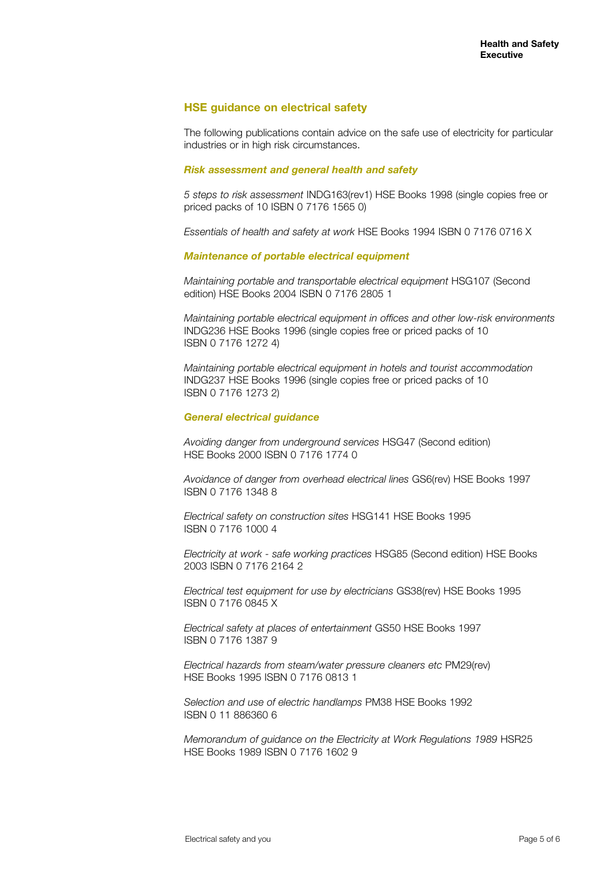# **HSE guidance on electrical safety**

The following publications contain advice on the safe use of electricity for particular industries or in high risk circumstances.

#### *Risk assessment and general health and safety*

*5 steps to risk assessment* INDG163(rev1) HSE Books 1998 (single copies free or priced packs of 10 ISBN 0 7176 1565 0)

*Essentials of health and safety at work* HSE Books 1994 ISBN 0 7176 0716 X

#### *Maintenance of portable electrical equipment*

*Maintaining portable and transportable electrical equipment* HSG107 (Second edition) HSE Books 2004 ISBN 0 7176 2805 1

*Maintaining portable electrical equipment in offices and other low-risk environments*  INDG236 HSE Books 1996 (single copies free or priced packs of 10 ISBN 0 7176 1272 4)

*Maintaining portable electrical equipment in hotels and tourist accommodation*  INDG237 HSE Books 1996 (single copies free or priced packs of 10 ISBN 0 7176 1273 2)

#### *General electrical guidance*

*Avoiding danger from underground services* HSG47 (Second edition) HSE Books 2000 ISBN 0 7176 1774 0

*Avoidance of danger from overhead electrical lines* GS6(rev) HSE Books 1997 ISBN 0 7176 1348 8

*Electrical safety on construction sites* HSG141 HSE Books 1995 ISBN 0 7176 1000 4

*Electricity at work - safe working practices* HSG85 (Second edition) HSE Books 2003 ISBN 0 7176 2164 2

*Electrical test equipment for use by electricians* GS38(rev) HSE Books 1995 ISBN 0 7176 0845 X

*Electrical safety at places of entertainment* GS50 HSE Books 1997 ISBN 0 7176 1387 9

*Electrical hazards from steam/water pressure cleaners etc* PM29(rev) HSE Books 1995 ISBN 0 7176 0813 1

*Selection and use of electric handlamps* PM38 HSE Books 1992 ISBN 0 11 886360 6

*Memorandum of guidance on the Electricity at Work Regulations 1989* HSR25 HSE Books 1989 ISBN 0 7176 1602 9